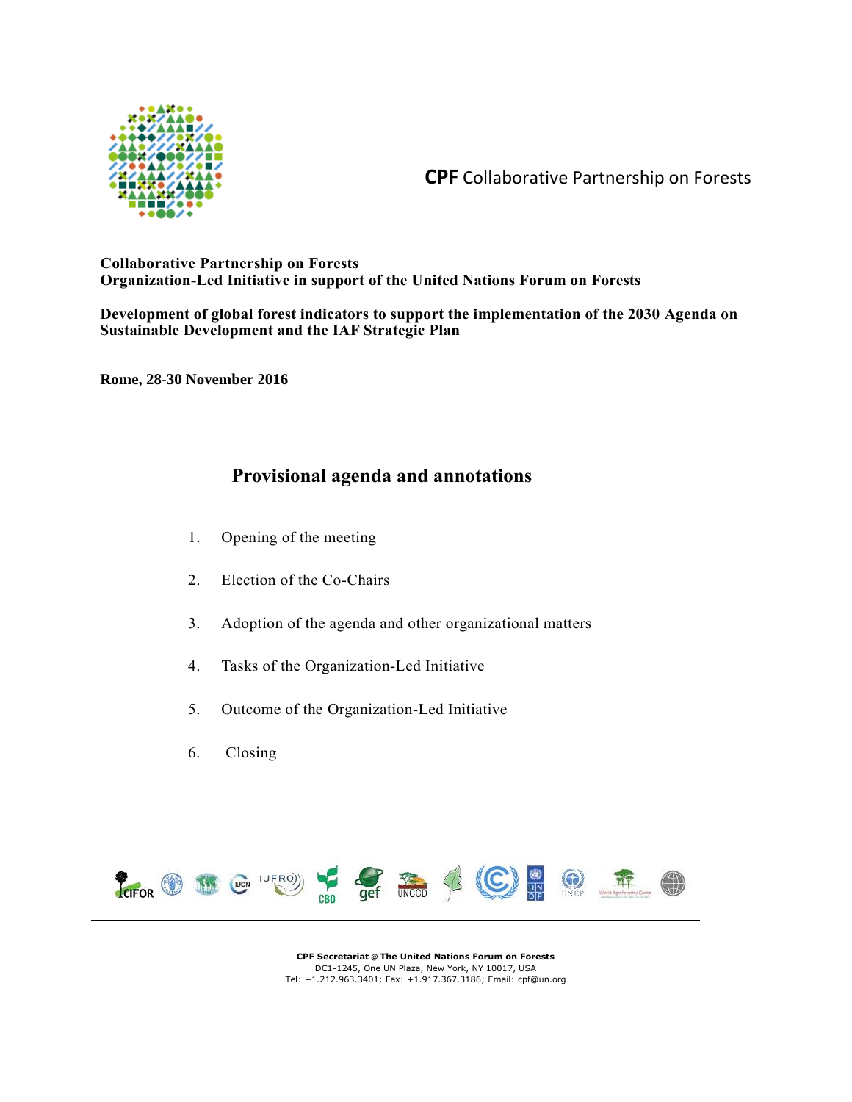

**CPF** Collaborative Partnership on Forests

# **Collaborative Partnership on Forests Organization-Led Initiative in support of the United Nations Forum on Forests**

**Development of global forest indicators to support the implementation of the 2030 Agenda on Sustainable Development and the IAF Strategic Plan**

**Rome, 28-30 November 2016**

# **Provisional agenda and annotations**

- 1. Opening of the meeting
- 2. Election of the Co-Chairs
- 3. Adoption of the agenda and other organizational matters
- 4. Tasks of the Organization-Led Initiative
- 5. Outcome of the Organization-Led Initiative
- 6. Closing



**CPF Secretariat** @ **The United Nations Forum on Forests**  DC1-1245, One UN Plaza, New York, NY 10017, USA Tel: +1.212.963.3401; Fax: +1.917.367.3186; Email: cpf@un.org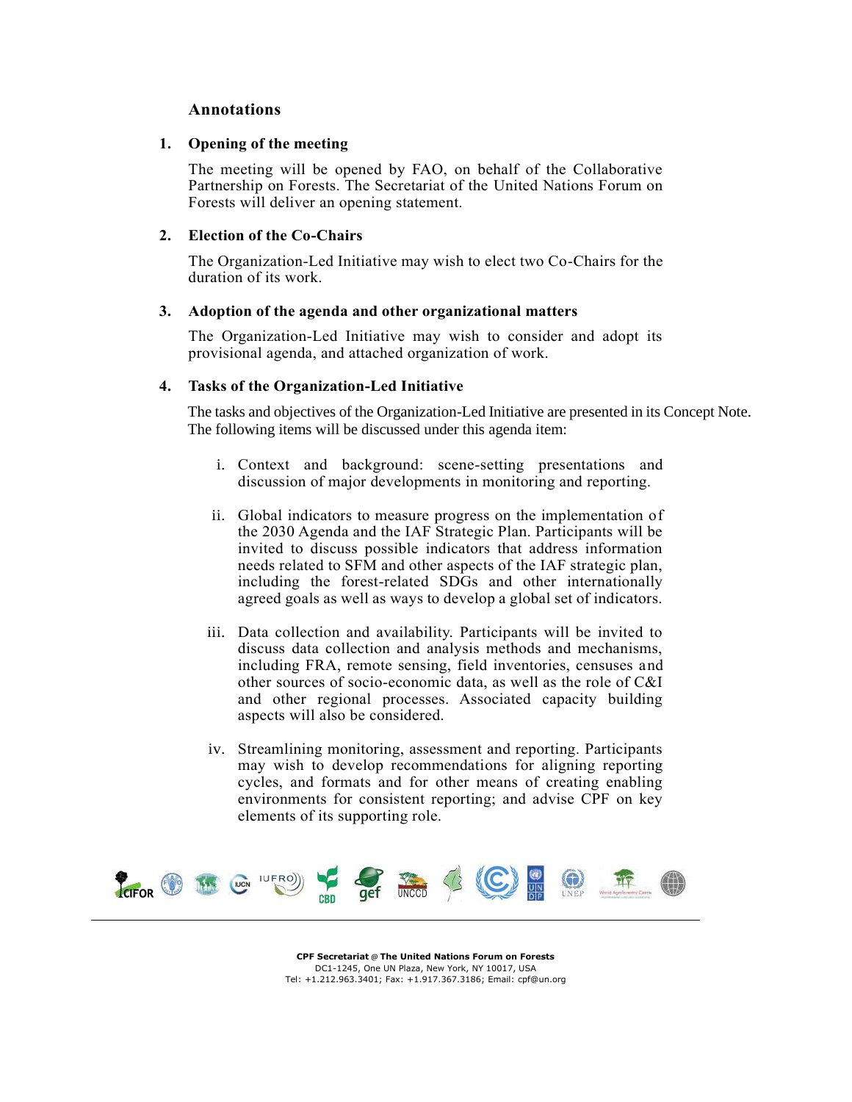## **Annotations**

#### **1. Opening of the meeting**

The meeting will be opened by FAO, on behalf of the Collaborative Partnership on Forests. The Secretariat of the United Nations Forum on Forests will deliver an opening statement.

#### **2. Election of the Co-Chairs**

The Organization-Led Initiative may wish to elect two Co-Chairs for the duration of its work.

#### **3. Adoption of the agenda and other organizational matters**

The Organization-Led Initiative may wish to consider and adopt its provisional agenda, and attached organization of work.

#### **4. Tasks of the Organization-Led Initiative**

The tasks and objectives of the Organization-Led Initiative are presented in its Concept Note. The following items will be discussed under this agenda item:

- i. Context and background: scene-setting presentations and discussion of major developments in monitoring and reporting.
- ii. Global indicators to measure progress on the implementation of the 2030 Agenda and the IAF Strategic Plan. Participants will be invited to discuss possible indicators that address information needs related to SFM and other aspects of the IAF strategic plan, including the forest-related SDGs and other internationally agreed goals as well as ways to develop a global set of indicators.
- iii. Data collection and availability. Participants will be invited to discuss data collection and analysis methods and mechanisms, including FRA, remote sensing, field inventories, censuses and other sources of socio-economic data, as well as the role of C&I and other regional processes. Associated capacity building aspects will also be considered.
- iv. Streamlining monitoring, assessment and reporting. Participants may wish to develop recommendations for aligning reporting cycles, and formats and for other means of creating enabling environments for consistent reporting; and advise CPF on key elements of its supporting role.



**CPF Secretariat** @ **The United Nations Forum on Forests**  DC1-1245, One UN Plaza, New York, NY 10017, USA Tel: +1.212.963.3401; Fax: +1.917.367.3186; Email: cpf@un.org